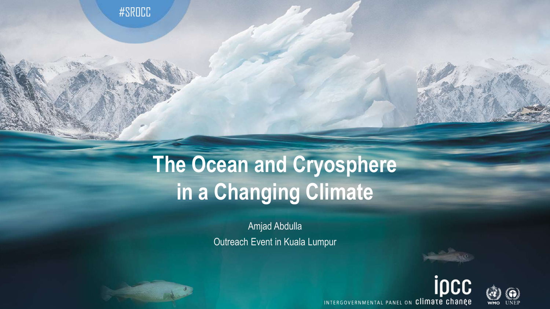#SROCC

# **The Ocean and Cryosphere in a Changing Climate**

Amjad Abdulla Outreach Event in Kuala Lumpur





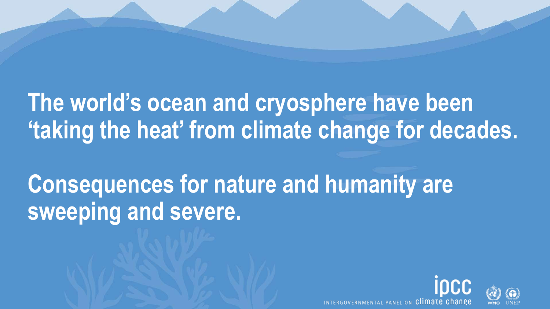## **The world's ocean and cryosphere have been 'taking the heat' from climate change for decades.**

# **Consequences for nature and humanity are sweeping and severe.**

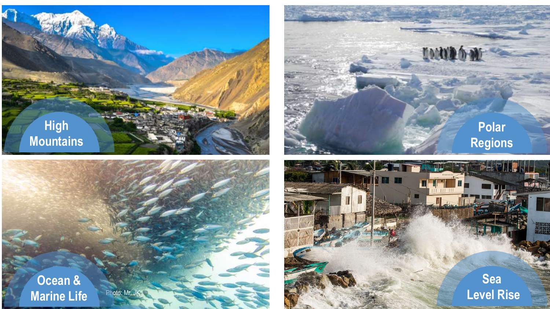



**Polar** 

**INNA 6 M** 

**Regions**

**Ocean & Marine Life**

Photo: Mr. JK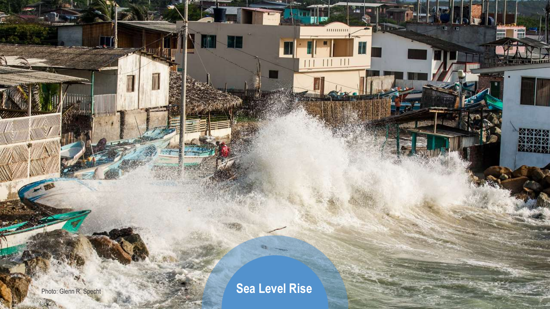$\mathbb{R}^3$ 

B.

التباعد

T.

Photo: Glenn R. Specht **Photo: Sea Level Rise** 

前職

**IND**  $\overline{a}$ 

 $\begin{tabular}{|c|c|} \hline \hline \multicolumn{1}{|c|}{\multicolumn{1}{|c|}{\multicolumn{1}{|c|}{\multicolumn{1}{|c|}{\multicolumn{1}{|c|}{\multicolumn{1}{|c|}{\multicolumn{1}{|c|}{\multicolumn{1}{c}}}}}} \hline \multicolumn{1}{|c|}{\hline \multicolumn{1}{|c|}{\hline \multicolumn{1}{|c|}{\hline \multicolumn{1}{|c|}{\hline \multicolumn{1}{|c|}{\hline \multicolumn{1}{|c|}{\hline \multicolumn{1}{|c|}{\hline \multicolumn{1}{|c|}{\h$ 

**XXXXX** 

 $\sim$ 

**RANGE** 

er ez

 $11111111111$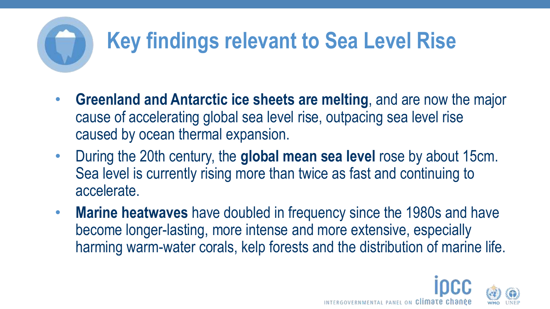# **Key findings relevant to Sea Level Rise**

- **Greenland and Antarctic ice sheets are melting**, and are now the major cause of accelerating global sea level rise, outpacing sea level rise caused by ocean thermal expansion.
- During the 20th century, the **global mean sea level** rose by about 15cm. Sea level is currently rising more than twice as fast and continuing to accelerate.
- **Marine heatwaves** have doubled in frequency since the 1980s and have become longer-lasting, more intense and more extensive, especially harming warm-water corals, kelp forests and the distribution of marine life.

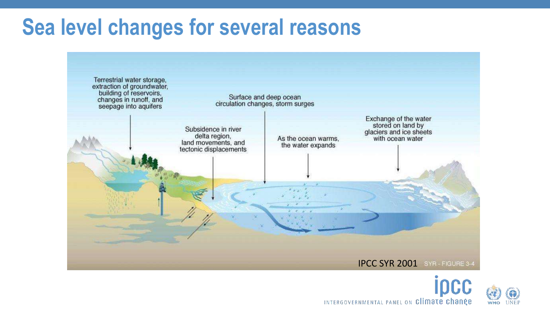#### **Sea level changes for several reasons**





INTERGOVERNMENTAL PANEL ON Climate change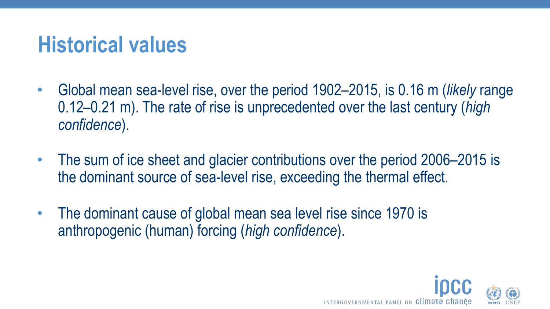#### **Historical values**

- Global mean sea-level rise, over the period 1902–2015, is 0.16 m (*likely* range 0.12–0.21 m). The rate of rise is unprecedented over the last century (*high confidence*).
- The sum of ice sheet and glacier contributions over the period 2006–2015 is the dominant source of sea-level rise, exceeding the thermal effect.
- The dominant cause of global mean sea level rise since 1970 is anthropogenic (human) forcing (*high confidence*).

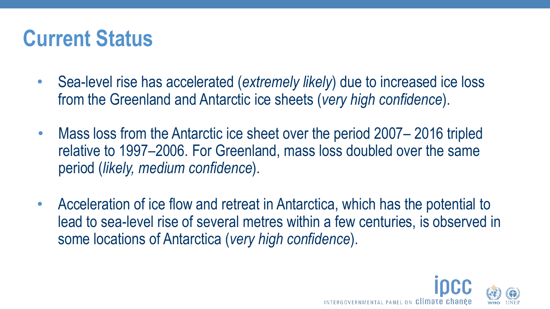#### **Current Status**

- Sea-level rise has accelerated (*extremely likely*) due to increased ice loss from the Greenland and Antarctic ice sheets (*very high confidence*).
- Mass loss from the Antarctic ice sheet over the period 2007–2016 tripled relative to 1997–2006. For Greenland, mass loss doubled over the same period (*likely, medium confidence*).
- Acceleration of ice flow and retreat in Antarctica, which has the potential to lead to sea-level rise of several metres within a few centuries, is observed in some locations of Antarctica (*very high confidence*).

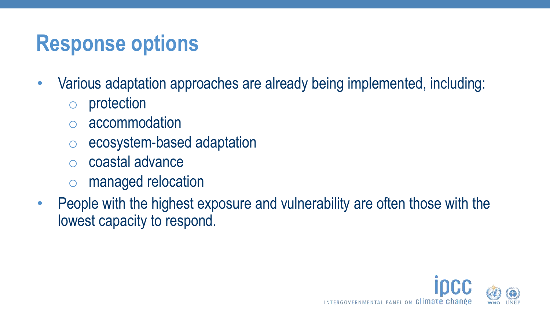### **Response options**

- Various adaptation approaches are already being implemented, including:
	- o protection
	- accommodation
	- o ecosystem-based adaptation
	- coastal advance
	- o managed relocation
- People with the highest exposure and vulnerability are often those with the lowest capacity to respond.

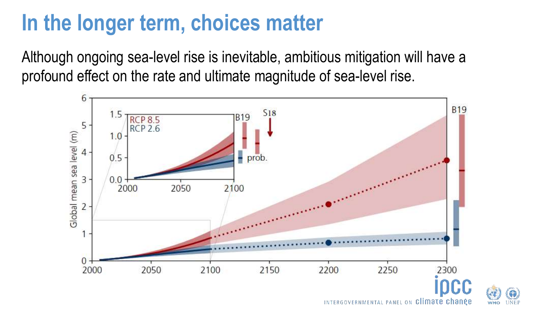#### **In the longer term, choices matter**

Although ongoing sea-level rise is inevitable, ambitious mitigation will have a profound effect on the rate and ultimate magnitude of sea-level rise.





INTERGOVERNMENTAL PANEL ON Climate change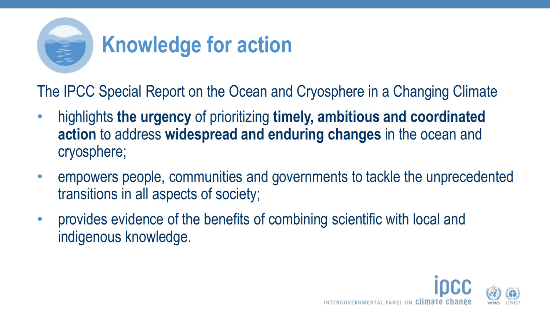

The IPCC Special Report on the Ocean and Cryosphere in a Changing Climate

- highlights **the urgency** of prioritizing **timely, ambitious and coordinated action** to address **widespread and enduring changes** in the ocean and cryosphere;
- empowers people, communities and governments to tackle the unprecedented transitions in all aspects of society;
- provides evidence of the benefits of combining scientific with local and indigenous knowledge.

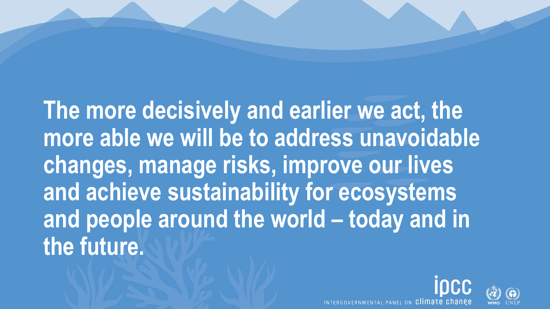**The more decisively and earlier we act, the more able we will be to address unavoidable changes, manage risks, improve our lives and achieve sustainability for ecosystems and people around the world – today and in the future.**



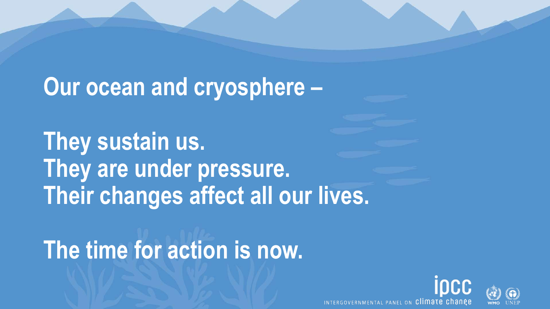### **Our ocean and cryosphere –**

**They sustain us. They are under pressure. Their changes affect all our lives.**

# **The time for action is now.**